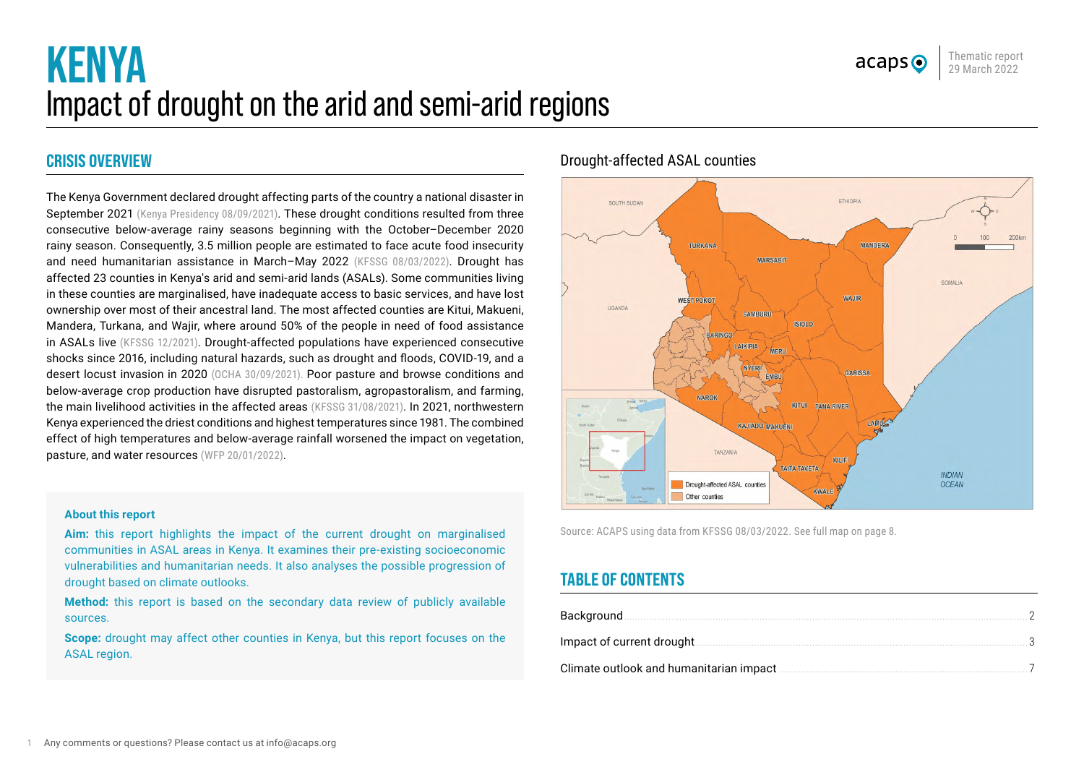

# **KENYA** Impact of drought on the arid and semi-arid regions

# **CRISIS OVERVIEW**

The Kenya Government declared drought affecting parts of the country a national disaster in September 2021 [\(Kenya Presidency 08/09/2021\)](https://www.president.go.ke/2021/09/08/spokespersons-office-state-house-nairobi-8th-september-2021-press-release-president-kenyatta-declares-drought-a-national-disaster/). These drought conditions resulted from three consecutive below-average rainy seasons beginning with the October–December 2020 rainy season. Consequently, 3.5 million people are estimated to face acute food insecurity and need humanitarian assistance in March–May 2022 ([KFSSG 08/03/2022](https://reliefweb.int/report/kenya/kenya-2021-short-rains-season-assessment-report-february-2022)). Drought has affected 23 counties in Kenya's arid and semi-arid lands (ASALs). Some communities living in these counties are marginalised, have inadequate access to basic services, and have lost ownership over most of their ancestral land. The most affected counties are Kitui, Makueni, Mandera, Turkana, and Wajir, where around 50% of the people in need of food assistance in ASALs live ([KFSSG 12/2021\)](https://www.ndma.go.ke/index.php/resource-center/send/84-2021/6290-2021-short-rains-mid-season-assessment-main-report). Drought-affected populations have experienced consecutive shocks since 2016, including natural hazards, such as drought and floods, COVID-19, and a desert locust invasion in 2020 ([OCHA 30/09/2021\)](https://reliefweb.int/report/kenya/kenya-drought-flash-appeal-october-2021-march-2022-extended-january-2022). Poor pasture and browse conditions and below-average crop production have disrupted pastoralism, agropastoralism, and farming, the main livelihood activities in the affected areas [\(KFSSG 31/08/2021\)](https://reliefweb.int/sites/reliefweb.int/files/resources/LRA%202021%20National%20Report.pdf). In 2021, northwestern Kenya experienced the driest conditions and highest temperatures since 1981. The combined effect of high temperatures and below-average rainfall worsened the impact on vegetation, pasture, and water resources ([WFP 20/01/2022\)](https://reliefweb.int/report/ethiopia/analysis-impacts-ongoing-drought-across-eastern-horn-africa-2020-2022-period).

#### **About this report**

**Aim:** this report highlights the impact of the current drought on marginalised communities in ASAL areas in Kenya. It examines their pre-existing socioeconomic vulnerabilities and humanitarian needs. It also analyses the possible progression of drought based on climate outlooks.

**Method:** this report is based on the secondary data review of publicly available sources.

**Scope:** drought may affect other counties in Kenya, but this report focuses on the ASAL region.

## Drought-affected ASAL counties



Source: ACAPS using data from [KFSSG 08/03/2022.](https://reliefweb.int/report/kenya/kenya-2021-short-rains-season-assessment-report-february-2022) [See full map on page](#page-7-0) 8.

# **TABLE OF CONTENTS**

| Background.                               |  |
|-------------------------------------------|--|
| Impact of current drought                 |  |
| Climate outlook and humanitarian impact . |  |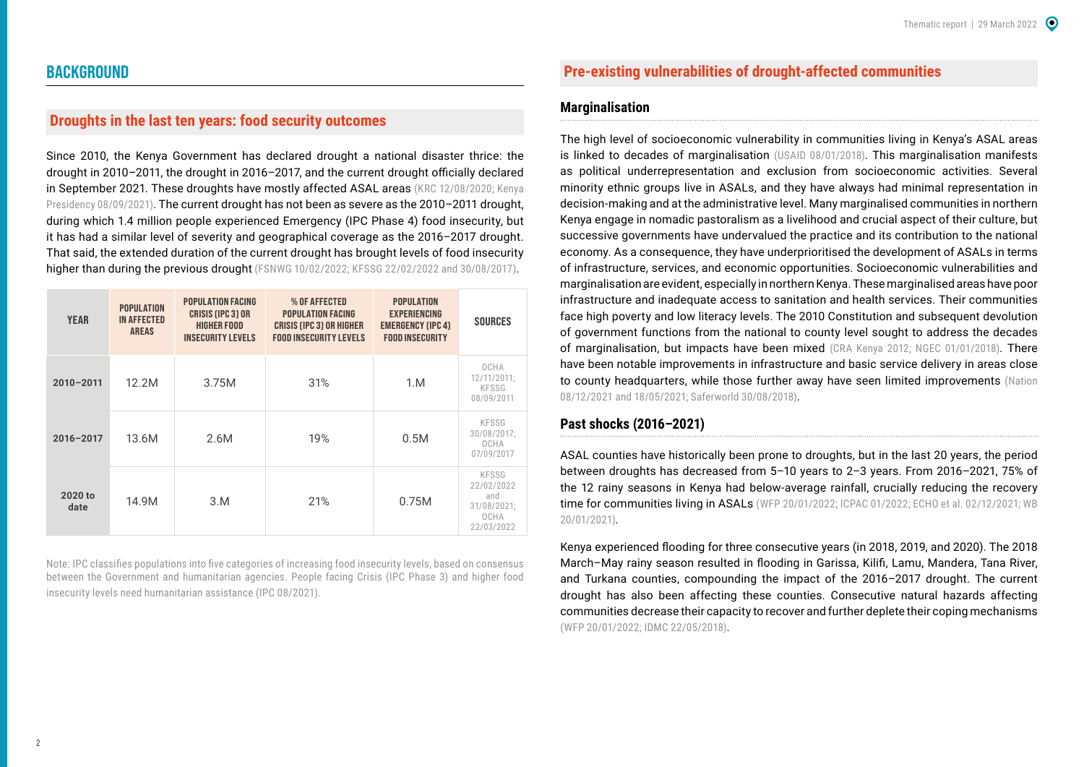## <span id="page-1-0"></span>**BACKGROUND**

## **Droughts in the last ten years: food security outcomes**

Since 2010, the Kenya Government has declared drought a national disaster thrice: the drought in 2010–2011, the drought in 2016–2017, and the current drought officially declared in September 2021. These droughts have mostly affected ASAL areas ([KRC 12/08/2020](https://reliefweb.int/report/kenya/barriers-using-climate-and-weather-forecasts-drought-planning-and-decision-making); Kenya [Presidency 08/09/2021\)](https://www.president.go.ke/2021/09/08/spokespersons-office-state-house-nairobi-8th-september-2021-press-release-president-kenyatta-declares-drought-a-national-disaster/). The current drought has not been as severe as the 2010-2011 drought, during which 1.4 million people experienced Emergency (IPC Phase 4) food insecurity, but it has had a similar level of severity and geographical coverage as the 2016–2017 drought. That said, the extended duration of the current drought has brought levels of food insecurity higher than during the previous drought ([FSNWG 10/02/2022;](https://www.icpac.net/fsnwg/fsnwg-special-report-on-drought/) [KFSSG 22/02/2022](https://www.ndma.go.ke/index.php/resource-center/send/84-2021/6365-kfsm-sra-ppt-january-2022) and [30/08/2017\)](https://reliefweb.int/report/kenya/kenya-2017-long-rains-season-assessment-report).

| <b>YEAR</b>     | <b>POPULATION</b><br><b>IN AFFECTED</b><br><b>AREAS</b> | <b>POPULATION FACING</b><br><b>CRISIS (IPC 3) OR</b><br><b>HIGHER FOOD</b><br><b>INSECURITY LEVELS</b> | % OF AFFECTED<br><b>POPULATION FACING</b><br><b>CRISIS (IPC 3) OR HIGHER</b><br><b>FOOD INSECURITY LEVELS</b> | <b>POPULATION</b><br><b>EXPERIENCING</b><br><b>EMERGENCY (IPC 4)</b><br><b>FOOD INSECURITY</b> | <b>SOURCES</b>                                                  |
|-----------------|---------------------------------------------------------|--------------------------------------------------------------------------------------------------------|---------------------------------------------------------------------------------------------------------------|------------------------------------------------------------------------------------------------|-----------------------------------------------------------------|
| $2010 - 2011$   | 12.2M                                                   | 3.75M                                                                                                  | 31%                                                                                                           | 1.M                                                                                            | OCHA<br>12/11/2011;<br>KFSSG<br>08/09/2011                      |
| 2016-2017       | 13.6M                                                   | 2.6M                                                                                                   | 19%                                                                                                           | 0.5M                                                                                           | KFSSG<br>30/08/2017;<br>OCHA<br>07/09/2017                      |
| 2020 to<br>date | 14.9M                                                   | 3.M                                                                                                    | 21%                                                                                                           | 0.75M                                                                                          | KFSSG<br>22/02/2022<br>and<br>31/08/2021;<br>OCHA<br>22/03/2022 |

Note: IPC classifies populations into five categories of increasing food insecurity levels, based on consensus between the Government and humanitarian agencies. People facing Crisis (IPC Phase 3) and higher food insecurity levels need humanitarian assistance [\(IPC 08/2021](https://www.ipcinfo.org/fileadmin/user_upload/ipcinfo/manual/IPC_Technical_Manual_3_Final.pdf)).

## **Pre-existing vulnerabilities of drought-affected communities**

## **Marginalisation**

The high level of socioeconomic vulnerability in communities living in Kenya's ASAL areas is linked to decades of marginalisation ([USAID 08/01/2018\)](https://www.usaid.gov/documents/1867/economics-resilience-drought-kenya-analysis). This marginalisation manifests as political underrepresentation and exclusion from socioeconomic activities. Several minority ethnic groups live in ASALs, and they have always had minimal representation in decision-making and at the administrative level. Many marginalised communities in northern Kenya engage in nomadic pastoralism as a livelihood and crucial aspect of their culture, but successive governments have undervalued the practice and its contribution to the national economy. As a consequence, they have underprioritised the development of ASALs in terms of infrastructure, services, and economic opportunities. Socioeconomic vulnerabilities and marginalisation are evident, especially in northern Kenya. These marginalised areas have poor infrastructure and inadequate access to sanitation and health services. Their communities face high poverty and low literacy levels. The 2010 Constitution and subsequent devolution of government functions from the national to county level sought to address the decades of marginalisation, but impacts have been mixed [\(CRA Kenya 2012](https://www.crakenya.org/wp-content/uploads/2013/10/SURVEY-REPORT-ON-MARGINALISED-AREASCOUNTIES-IN-KENYA.pdf); [NGEC 01/01/2018\)](https://www.ngeckenya.org/Downloads/Unmasking%20Ethnic%20Minorities%20and%20Marginalized%20Communities%20in%20Kenya.pdf). There have been notable improvements in infrastructure and basic service delivery in areas close to county headquarters, while those further away have seen limited improvements (Nation [08/12/2021](https://nation.africa/kenya/counties/turkana/turkana-county-uses-devolution-funds-to-rewrite-its-story-3644766) and [18/05/2021;](https://nation.africa/kenya/counties/turkana/devolution-fantasy-turkana-village-that-has-no-school-or-health-centre-3404544) [Saferworld 30/08/2018](https://www.saferworld.org.uk/downloads/pubdocs/delivering-on-the-promise-of-peace.pdf)).

#### **Past shocks (2016–2021)**

ASAL counties have historically been prone to droughts, but in the last 20 years, the period between droughts has decreased from 5–10 years to 2–3 years. From 2016–2021, 75% of the 12 rainy seasons in Kenya had below-average rainfall, crucially reducing the recovery time for communities living in ASALs [\(WFP 20/01/2022;](https://reliefweb.int/report/ethiopia/analysis-impacts-ongoing-drought-across-eastern-horn-africa-2020-2022-period) [ICPAC 01/2022](https://mcusercontent.com/c0c3fc97a16d77359aa6419af/files/d23d4d67-6133-a13f-569a-1e9f3d3eb44c/January_Drought_Situation_Update_14th_Feb_2022.pdf?utm_source=ICPAC_NEWSLETTER&utm_campaign=4c4ecba4bb-EMAIL_CAMPAIGN_2019_02_25_06_47_COPY_01&utm_medium=email&utm_term=0_0ea0a0abaf-4c4ecba4bb-72273045); [ECHO et al. 02/12/2021;](https://fews.net/sites/default/files/multi-agency-east-africa-drought-alert-120121.pdf) WB [20/01/2021\)](https://reliefweb.int/report/kenya/kenya-climate-risk-country-profile).

Kenya experienced flooding for three consecutive years (in 2018, 2019, and 2020). The 2018 March–May rainy season resulted in flooding in Garissa, Kilifi, Lamu, Mandera, Tana River, and Turkana counties, compounding the impact of the 2016–2017 drought. The current drought has also been affecting these counties. Consecutive natural hazards affecting communities decrease their capacity to recover and further deplete their coping mechanisms ([WFP 20/01/2022;](https://reliefweb.int/report/ethiopia/analysis-impacts-ongoing-drought-across-eastern-horn-africa-2020-2022-period) [IDMC 22/05/2018\)](https://www.internal-displacement.org/expert-opinion/drought-stricken-communities-hit-by-destructive-floods-in-the-horn-of-africa).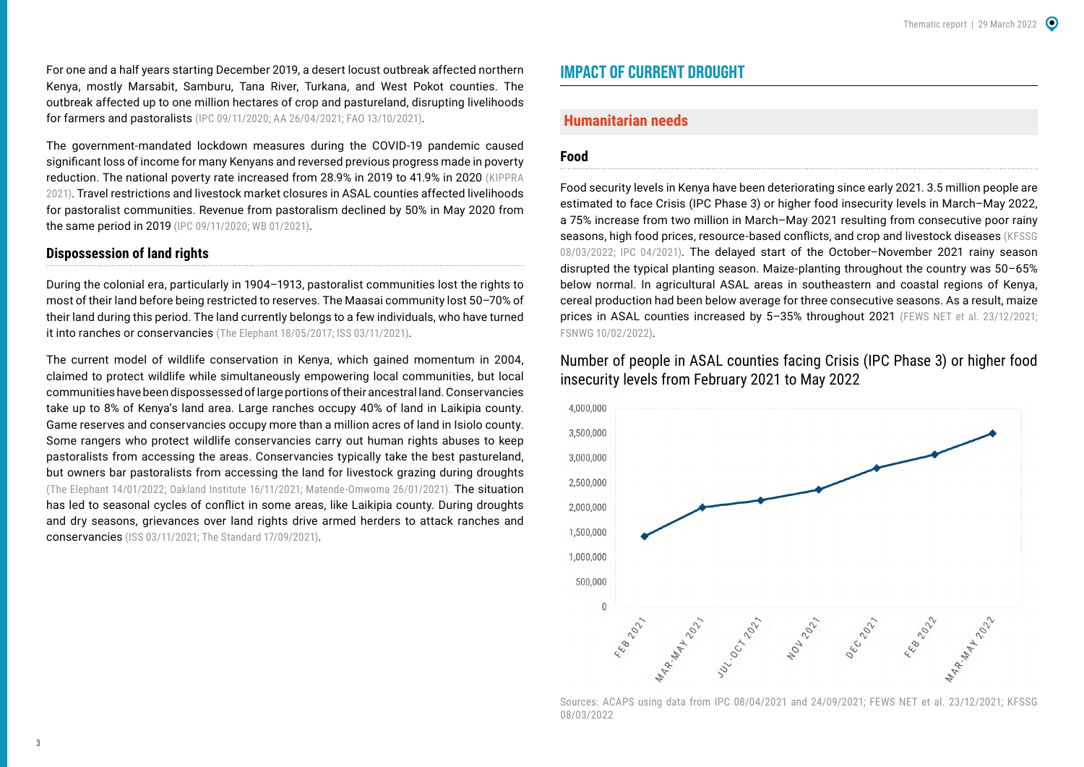<span id="page-2-0"></span>For one and a half years starting December 2019, a desert locust outbreak affected northern Kenya, mostly Marsabit, Samburu, Tana River, Turkana, and West Pokot counties. The outbreak affected up to one million hectares of crop and pastureland, disrupting livelihoods for farmers and pastoralists [\(IPC 09/11/2020;](https://reliefweb.int/report/kenya/kenya-ipc-acute-food-insecurity-analysis-asal-august-december-2020-issued-november-2020) [AA 26/04/2021](https://www.aa.com.tr/en/africa/kenya-contains-desert-locust-invasion/2221296); [FAO 13/10/2021\)](https://reliefweb.int/report/kenya/becoming-heroes-fight-against-desert-locusts).

The government-mandated lockdown measures during the COVID-19 pandemic caused significant loss of income for many Kenyans and reversed previous progress made in poverty reduction. The national poverty rate increased from 28.9% in 2019 to 41.9% in 2020 ([KIPPRA](https://kippra.or.ke/download/kenya-economic-report-2021/?wpdmdl=10678&refresh=62148a5655e0a1645513302)  [2021\)](https://kippra.or.ke/download/kenya-economic-report-2021/?wpdmdl=10678&refresh=62148a5655e0a1645513302). Travel restrictions and livestock market closures in ASAL counties affected livelihoods for pastoralist communities. Revenue from pastoralism declined by 50% in May 2020 from the same period in 2019 ([IPC 09/11/2020](https://reliefweb.int/report/kenya/kenya-ipc-acute-food-insecurity-analysis-asal-august-december-2020-issued-november-2020); [WB 01/2021\)](https://openknowledge.worldbank.org/handle/10986/35173).

#### **Dispossession of land rights**

During the colonial era, particularly in 1904–1913, pastoralist communities lost the rights to most of their land before being restricted to reserves. The Maasai community lost 50–70% of their land during this period. The land currently belongs to a few individuals, who have turned it into ranches or conservancies ([The Elephant 18/05/2017;](https://www.theelephant.info/features/2017/05/18/the-laikipia-crisis-and-the-disenfranchisement-of-kenyans-in-the-north/) [ISS 03/11/2021\)](https://issafrica.org/iss-today/firepower-wont-restore-trust-among-kenyas-warring-laikipia-communities).

The current model of wildlife conservation in Kenya, which gained momentum in 2004, claimed to protect wildlife while simultaneously empowering local communities, but local communities have been dispossessed of large portions of their ancestral land. Conservancies take up to 8% of Kenya's land area. Large ranches occupy 40% of land in Laikipia county. Game reserves and conservancies occupy more than a million acres of land in Isiolo county. Some rangers who protect wildlife conservancies carry out human rights abuses to keep pastoralists from accessing the areas. Conservancies typically take the best pastureland, but owners bar pastoralists from accessing the land for livestock grazing during droughts ([The Elephant 14/01/2022;](https://www.theelephant.info/features/2022/01/14/stealth-game-community-conservancies-and-dispossession-in-northern-kenya/) [Oakland Institute 16/11/2021](https://www.oaklandinstitute.org/sites/oaklandinstitute.org/files/kenya-stealth-game-community-conservancies.pdf); [Matende-Omwoma 26/01/2021](https://isk.or.ke/2021/01/26/the-story-of-land-adjudication-in-kenya-paradoxes-uncertainties-and-reversionary-tendencies/)). The situation has led to seasonal cycles of conflict in some areas, like Laikipia county. During droughts and dry seasons, grievances over land rights drive armed herders to attack ranches and conservancies ([ISS 03/11/2021](https://issafrica.org/iss-today/firepower-wont-restore-trust-among-kenyas-warring-laikipia-communities); [The Standard 17/09/2021\)](https://www.standardmedia.co.ke/rift-valley/article/2001423726/laikipia-ranchers-still-complain-of-invasion-by-herders-seek-state-intervention).

## **IMPACT OF CURRENT DROUGHT**

## **Humanitarian needs**

#### **Food**

Food security levels in Kenya have been deteriorating since early 2021. 3.5 million people are estimated to face Crisis (IPC Phase 3) or higher food insecurity levels in March–May 2022, a 75% increase from two million in March–May 2021 resulting from consecutive poor rainy seasons, high food prices, resource-based conflicts, and crop and livestock diseases [\(KFSSG](https://reliefweb.int/report/kenya/kenya-2021-short-rains-season-assessment-report-february-2022)  [08/03/2022;](https://reliefweb.int/report/kenya/kenya-2021-short-rains-season-assessment-report-february-2022) [IPC 04/2021\)](https://www.ipcinfo.org/ipc-country-analysis/details-map/en/c/1154149/?iso3=KEN). The delayed start of the October–November 2021 rainy season disrupted the typical planting season. Maize-planting throughout the country was 50–65% below normal. In agricultural ASAL areas in southeastern and coastal regions of Kenya, cereal production had been below average for three consecutive seasons. As a result, maize prices in ASAL counties increased by 5-35% throughout 2021 ([FEWS NET et al. 23/12/2021](https://reliefweb.int/report/kenya/2021-short-rains-mid-season-food-and-nutrition-security-situation-update-23rd-december); [FSNWG 10/02/2022](https://www.icpac.net/fsnwg/fsnwg-special-report-on-drought/)).

Number of people in ASAL counties facing Crisis (IPC Phase 3) or higher food insecurity levels from February 2021 to May 2022



Sources: ACAPS using data from [IPC 08/04/2021](https://reliefweb.int/report/kenya/kenya-ipc-acute-food-insecurity-analysis-asal-february-may-2021-issued-april-2021) and [24/09/2021;](https://reliefweb.int/report/kenya/kenya-ipc-acute-food-insecurity-analysis-and-acute-malnutrition-analysis-july-2021) [FEWS NET et al. 23/12/2021;](https://reliefweb.int/report/kenya/2021-short-rains-mid-season-food-and-nutrition-security-situation-update-23rd-december) [KFSSG](https://reliefweb.int/report/kenya/kenya-2021-short-rains-season-assessment-report-february-2022)  [08/03/2022](https://reliefweb.int/report/kenya/kenya-2021-short-rains-season-assessment-report-february-2022)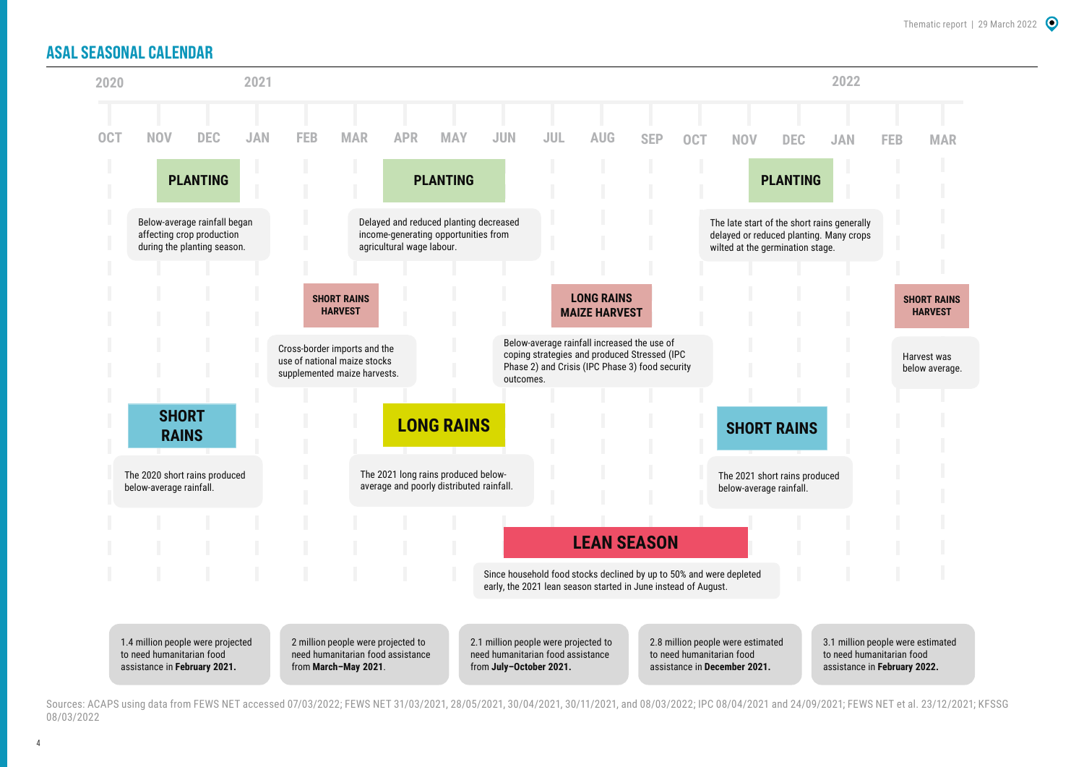## **ASAL SEASONAL CALENDAR**



Sources: ACAPS using data from [FEWS NET accessed 07/03/2022](https://fews.net/file/113528); [FEWS NET 31/03/2021](https://reliefweb.int/report/kenya/kenya-key-message-update-below-average-long-rains-and-additional-covid-19-restrictions), [28/05/2021,](https://reliefweb.int/report/kenya/kenya-below-average-harvest-anticipated-following-poor-march-may-long-rains) [30/04/2021](https://reliefweb.int/report/kenya/kenya-food-security-outlook-update-april-2021), [30/11/2021,](https://reliefweb.int/report/kenya/kenya-key-message-update-drought-reducing-livestock-productivity-and-significantly) and [08/03/2022;](https://reliefweb.int/report/kenya/kenya-food-security-outlook-update-february-september-2022) [IPC 08/04/2021](https://reliefweb.int/report/kenya/kenya-ipc-acute-food-insecurity-analysis-asal-february-may-2021-issued-april-2021) and [24/09/2021;](https://reliefweb.int/report/kenya/kenya-ipc-acute-food-insecurity-analysis-and-acute-malnutrition-analysis-july-2021) [FEWS NET et al. 23/12/2021](https://reliefweb.int/report/kenya/2021-short-rains-mid-season-food-and-nutrition-security-situation-update-23rd-december); [KFSSG](https://reliefweb.int/report/kenya/kenya-2021-short-rains-season-assessment-report-february-2022)  [08/03/2022](https://reliefweb.int/report/kenya/kenya-2021-short-rains-season-assessment-report-february-2022)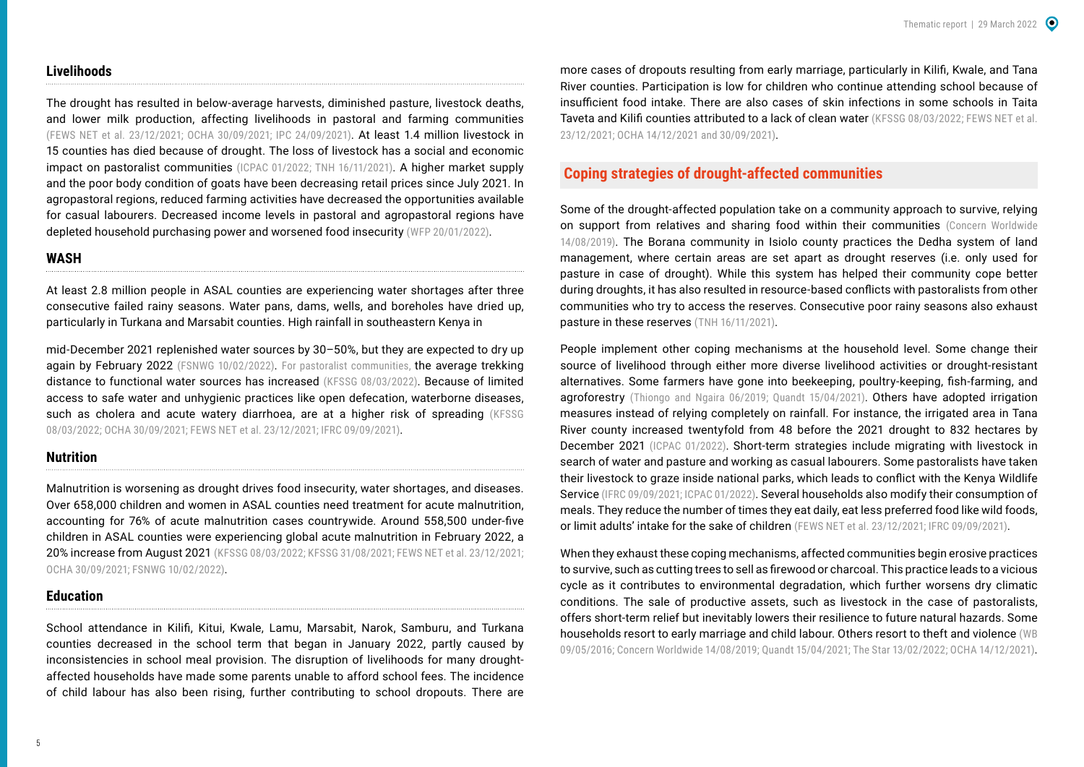#### **Livelihoods**

The drought has resulted in below-average harvests, diminished pasture, livestock deaths, and lower milk production, affecting livelihoods in pastoral and farming communities ([FEWS NET et al. 23/12/2021;](https://reliefweb.int/report/kenya/2021-short-rains-mid-season-food-and-nutrition-security-situation-update-23rd-december) [OCHA 30/09/2021;](https://reliefweb.int/report/kenya/kenya-drought-flash-appeal-oct-dec-2021-september-2021) [IPC 24/09/2021\)](https://reliefweb.int/report/kenya/kenya-ipc-food-security-nutrition-snapshot-afi-july-2021-january-2022-amn-july-november). At least 1.4 million livestock in 15 counties has died because of drought. The loss of livestock has a social and economic impact on pastoralist communities ([ICPAC 01/2022](https://mcusercontent.com/c0c3fc97a16d77359aa6419af/files/d23d4d67-6133-a13f-569a-1e9f3d3eb44c/January_Drought_Situation_Update_14th_Feb_2022.pdf?utm_source=ICPAC_NEWSLETTER&utm_campaign=4c4ecba4bb-EMAIL_CAMPAIGN_2019_02_25_06_47_COPY_01&utm_medium=email&utm_term=0_0ea0a0abaf-4c4ecba4bb-72273045); [TNH 16/11/2021\)](https://www.thenewhumanitarian.org/news-feature/2021/11/16/Kenya-pastoralists-COP26-promises-too-little-too-late). A higher market supply and the poor body condition of goats have been decreasing retail prices since July 2021. In agropastoral regions, reduced farming activities have decreased the opportunities available for casual labourers. Decreased income levels in pastoral and agropastoral regions have depleted household purchasing power and worsened food insecurity ([WFP 20/01/2022\)](https://reliefweb.int/report/ethiopia/analysis-impacts-ongoing-drought-across-eastern-horn-africa-2020-2022-period).

#### **WASH**

At least 2.8 million people in ASAL counties are experiencing water shortages after three consecutive failed rainy seasons. Water pans, dams, wells, and boreholes have dried up, particularly in Turkana and Marsabit counties. High rainfall in southeastern Kenya in

mid-December 2021 replenished water sources by 30–50%, but they are expected to dry up again by February 2022 ([FSNWG 10/02/2022\)](https://www.icpac.net/fsnwg/fsnwg-special-report-on-drought/). For pastoralist communities, the average trekking distance to functional water sources has increased ([KFSSG 08/03/2022](https://reliefweb.int/report/kenya/kenya-2021-short-rains-season-assessment-report-february-2022)). Because of limited access to safe water and unhygienic practices like open defecation, waterborne diseases, such as cholera and acute watery diarrhoea, are at a higher risk of spreading (KFSSG [08/03/2022](https://reliefweb.int/report/kenya/kenya-2021-short-rains-season-assessment-report-february-2022); [OCHA 30/09/2021](https://reliefweb.int/report/kenya/kenya-drought-flash-appeal-oct-dec-2021-september-2021); [FEWS NET et al. 23/12/2021;](https://reliefweb.int/report/kenya/2021-short-rains-mid-season-food-and-nutrition-security-situation-update-23rd-december) [IFRC 09/09/2021\)](https://reliefweb.int/report/kenya/kenya-drought-hunger-crisis-2021-emergency-appeal-mdrke049).

#### **Nutrition**

Malnutrition is worsening as drought drives food insecurity, water shortages, and diseases. Over 658,000 children and women in ASAL counties need treatment for acute malnutrition, accounting for 76% of acute malnutrition cases countrywide. Around 558,500 under-five children in ASAL counties were experiencing global acute malnutrition in February 2022, a 20% increase from August 2021 ([KFSSG 08/03/2022;](https://reliefweb.int/report/kenya/kenya-2021-short-rains-season-assessment-report-february-2022) [KFSSG 31/08/2021;](https://reliefweb.int/report/kenya/kenya-2021-long-rains-season-assessment-report-august-2021) [FEWS NET et al. 23/12/2021](https://reliefweb.int/report/kenya/2021-short-rains-mid-season-food-and-nutrition-security-situation-update-23rd-december); [OCHA 30/09/2021](https://reliefweb.int/report/kenya/kenya-drought-flash-appeal-oct-dec-2021-september-2021); [FSNWG 10/02/2022\)](https://www.icpac.net/fsnwg/fsnwg-special-report-on-drought/).

#### **Education**

School attendance in Kilifi, Kitui, Kwale, Lamu, Marsabit, Narok, Samburu, and Turkana counties decreased in the school term that began in January 2022, partly caused by inconsistencies in school meal provision. The disruption of livelihoods for many droughtaffected households have made some parents unable to afford school fees. The incidence of child labour has also been rising, further contributing to school dropouts. There are

more cases of dropouts resulting from early marriage, particularly in Kilifi, Kwale, and Tana River counties. Participation is low for children who continue attending school because of insufficient food intake. There are also cases of skin infections in some schools in Taita Taveta and Kilifi counties attributed to a lack of clean water ([KFSSG 08/03/2022;](https://reliefweb.int/report/kenya/kenya-2021-short-rains-season-assessment-report-february-2022) FEWS NET et al. [23/12/2021;](https://reliefweb.int/report/kenya/2021-short-rains-mid-season-food-and-nutrition-security-situation-update-23rd-december) [OCHA 14/12/2021](https://reliefweb.int/report/kenya/drought-kenya-cost-inaction-nov-2021) and [30/09/2021\)](https://reliefweb.int/report/kenya/kenya-drought-flash-appeal-oct-dec-2021-september-2021).

## **Coping strategies of drought-affected communities**

Some of the drought-affected population take on a community approach to survive, relying on support from relatives and sharing food within their communities [\(Concern Worldwide](https://www.concern.net/news/consequences-climate-crisis-northern-kenya)  [14/08/2019\)](https://www.concern.net/news/consequences-climate-crisis-northern-kenya). The Borana community in Isiolo county practices the Dedha system of land management, where certain areas are set apart as drought reserves (i.e. only used for pasture in case of drought). While this system has helped their community cope better during droughts, it has also resulted in resource-based conflicts with pastoralists from other communities who try to access the reserves. Consecutive poor rainy seasons also exhaust pasture in these reserves ([TNH 16/11/2021\)](https://www.thenewhumanitarian.org/news-feature/2021/11/16/Kenya-pastoralists-COP26-promises-too-little-too-late).

People implement other coping mechanisms at the household level. Some change their source of livelihood through either more diverse livelihood activities or drought-resistant alternatives. Some farmers have gone into beekeeping, poultry-keeping, fish-farming, and agroforestry ([Thiongo and Ngaira 06/2019](https://www.researchgate.net/publication/333828036_Strategies_used_by_farmers_to_cope_with_drought_in_Machakos_County_Kenya); Quandt 15/04/2021). Others have adopted irrigation measures instead of relying completely on rainfall. For instance, the irrigated area in Tana River county increased twentyfold from 48 before the 2021 drought to 832 hectares by December 2021 [\(ICPAC 01/2022\)](https://mcusercontent.com/c0c3fc97a16d77359aa6419af/files/d23d4d67-6133-a13f-569a-1e9f3d3eb44c/January_Drought_Situation_Update_14th_Feb_2022.pdf?utm_source=ICPAC_NEWSLETTER&utm_campaign=4c4ecba4bb-EMAIL_CAMPAIGN_2019_02_25_06_47_COPY_01&utm_medium=email&utm_term=0_0ea0a0abaf-4c4ecba4bb-72273045). Short-term strategies include migrating with livestock in search of water and pasture and working as casual labourers. Some pastoralists have taken their livestock to graze inside national parks, which leads to conflict with the Kenya Wildlife Service ([IFRC 09/09/2021](https://reliefweb.int/report/kenya/kenya-drought-hunger-crisis-2021-emergency-appeal-mdrke049); [ICPAC 01/2022\)](https://mcusercontent.com/c0c3fc97a16d77359aa6419af/files/d23d4d67-6133-a13f-569a-1e9f3d3eb44c/January_Drought_Situation_Update_14th_Feb_2022.pdf?utm_source=ICPAC_NEWSLETTER&utm_campaign=4c4ecba4bb-EMAIL_CAMPAIGN_2019_02_25_06_47_COPY_01&utm_medium=email&utm_term=0_0ea0a0abaf-4c4ecba4bb-72273045). Several households also modify their consumption of meals. They reduce the number of times they eat daily, eat less preferred food like wild foods, or limit adults' intake for the sake of children ([FEWS NET et al. 23/12/2021](https://reliefweb.int/report/kenya/2021-short-rains-mid-season-food-and-nutrition-security-situation-update-23rd-december); [IFRC 09/09/2021\)](https://reliefweb.int/report/kenya/kenya-drought-hunger-crisis-2021-emergency-appeal-mdrke049).

When they exhaust these coping mechanisms, affected communities begin erosive practices to survive, such as cutting trees to sell as firewood or charcoal. This practice leads to a vicious cycle as it contributes to environmental degradation, which further worsens dry climatic conditions. The sale of productive assets, such as livestock in the case of pastoralists, offers short-term relief but inevitably lowers their resilience to future natural hazards. Some households resort to early marriage and child labour. Others resort to theft and violence ([WB](https://www.droughtmanagement.info/literature/WBG_Confronting_drought_in_africas_drylands.pdf)  [09/05/2016;](https://www.droughtmanagement.info/literature/WBG_Confronting_drought_in_africas_drylands.pdf) [Concern Worldwide 14/08/2019](https://www.concern.net/news/consequences-climate-crisis-northern-kenya); Quandt 15/04/2021; [The Star 13/02/2022](https://www.the-star.co.ke/counties/coast/2022-02-13-stakeholders-alarmed-over-increased-charcoal-business-in-kinango/); [OCHA 14/12/2021\)](https://reliefweb.int/report/kenya/drought-kenya-cost-inaction-nov-2021).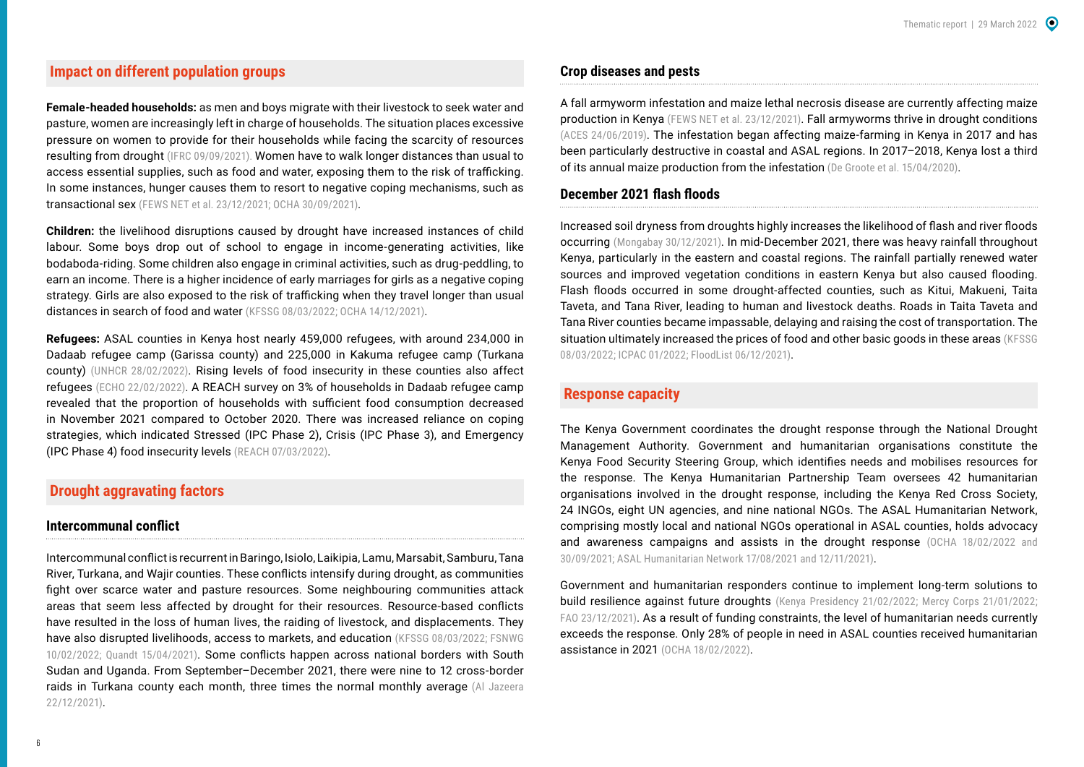## **Impact on different population groups**

**Female-headed households:** as men and boys migrate with their livestock to seek water and pasture, women are increasingly left in charge of households. The situation places excessive pressure on women to provide for their households while facing the scarcity of resources resulting from drought ([IFRC 09/09/2021\).](https://reliefweb.int/report/kenya/kenya-drought-hunger-crisis-2021-emergency-appeal-mdrke049) Women have to walk longer distances than usual to access essential supplies, such as food and water, exposing them to the risk of trafficking. In some instances, hunger causes them to resort to negative coping mechanisms, such as transactional sex ([FEWS NET et al. 23/12/2021](https://reliefweb.int/report/kenya/2021-short-rains-mid-season-food-and-nutrition-security-situation-update-23rd-december); [OCHA 30/09/2021\)](https://reliefweb.int/report/kenya/kenya-drought-flash-appeal-oct-dec-2021-september-2021).

**Children:** the livelihood disruptions caused by drought have increased instances of child labour. Some boys drop out of school to engage in income-generating activities, like bodaboda-riding. Some children also engage in criminal activities, such as drug-peddling, to earn an income. There is a higher incidence of early marriages for girls as a negative coping strategy. Girls are also exposed to the risk of trafficking when they travel longer than usual distances in search of food and water ([KFSSG 08/03/2022](https://reliefweb.int/report/kenya/kenya-2021-short-rains-season-assessment-report-february-2022); [OCHA 14/12/2021](https://reliefweb.int/report/kenya/drought-kenya-cost-inaction-nov-2021)).

**Refugees:** ASAL counties in Kenya host nearly 459,000 refugees, with around 234,000 in Dadaab refugee camp (Garissa county) and 225,000 in Kakuma refugee camp (Turkana county) [\(UNHCR 28/02/2022](https://reliefweb.int/report/kenya/kenya-registered-refugees-and-asylum-seekers-28-february-2022)). Rising levels of food insecurity in these counties also affect refugees [\(ECHO 22/02/2022](https://reliefweb.int/report/kenya/echo-factsheet-kenya-last-updated-03022022)). A REACH survey on 3% of households in Dadaab refugee camp revealed that the proportion of households with sufficient food consumption decreased in November 2021 compared to October 2020. There was increased reliance on coping strategies, which indicated Stressed (IPC Phase 2), Crisis (IPC Phase 3), and Emergency (IPC Phase 4) food insecurity levels ([REACH 07/03/2022\)](https://reliefweb.int/report/kenya/multi-sectoral-needs-assessment-dadaab-refugee-complex-garissa-county-kenya-december).

## **Drought aggravating factors**

#### **Intercommunal conflict**

Intercommunal conflict is recurrent in Baringo, Isiolo, Laikipia, Lamu, Marsabit, Samburu, Tana River, Turkana, and Wajir counties. These conflicts intensify during drought, as communities fight over scarce water and pasture resources. Some neighbouring communities attack areas that seem less affected by drought for their resources. Resource-based conflicts have resulted in the loss of human lives, the raiding of livestock, and displacements. They have also disrupted livelihoods, access to markets, and education ([KFSSG 08/03/2022;](https://reliefweb.int/report/kenya/kenya-2021-short-rains-season-assessment-report-february-2022) FSNWG [10/02/2022](https://www.icpac.net/fsnwg/fsnwg-special-report-on-drought/); Quandt 15/04/2021). Some conflicts happen across national borders with South Sudan and Uganda. From September–December 2021, there were nine to 12 cross-border raids in Turkana county each month, three times the normal monthly average [\(Al Jazeera](https://www.aljazeera.com/features/2021/12/22/how-drought-drives-conflict-in-kenya)  [22/12/2021\)](https://www.aljazeera.com/features/2021/12/22/how-drought-drives-conflict-in-kenya).

#### **Crop diseases and pests**

A fall armyworm infestation and maize lethal necrosis disease are currently affecting maize production in Kenya ([FEWS NET et al. 23/12/2021\)](https://reliefweb.int/report/kenya/2021-short-rains-mid-season-food-and-nutrition-security-situation-update-23rd-december). Fall armyworms thrive in drought conditions ([ACES 24/06/2019\)](https://www.aces.edu/blog/topics/farming/management-of-fall-armyworm-in-pastures-and-hayfields/). The infestation began affecting maize-farming in Kenya in 2017 and has been particularly destructive in coastal and ASAL regions. In 2017–2018, Kenya lost a third of its annual maize production from the infestation (De Groote et al. 15/04/2020).

#### **December 2021 flash floods**

Increased soil dryness from droughts highly increases the likelihood of flash and river floods occurring [\(Mongabay 30/12/2021](https://news.mongabay.com/2021/12/sinkholes-emerge-in-rural-kenya-after-series-of-floods-droughts/)). In mid-December 2021, there was heavy rainfall throughout Kenya, particularly in the eastern and coastal regions. The rainfall partially renewed water sources and improved vegetation conditions in eastern Kenya but also caused flooding. Flash floods occurred in some drought-affected counties, such as Kitui, Makueni, Taita Taveta, and Tana River, leading to human and livestock deaths. Roads in Taita Taveta and Tana River counties became impassable, delaying and raising the cost of transportation. The situation ultimately increased the prices of food and other basic goods in these areas (KFSSG [08/03/2022;](https://reliefweb.int/report/kenya/kenya-2021-short-rains-season-assessment-report-february-2022) [ICPAC 01/2022;](https://mcusercontent.com/c0c3fc97a16d77359aa6419af/files/d23d4d67-6133-a13f-569a-1e9f3d3eb44c/January_Drought_Situation_Update_14th_Feb_2022.pdf?utm_source=ICPAC_NEWSLETTER&utm_campaign=4c4ecba4bb-EMAIL_CAMPAIGN_2019_02_25_06_47_COPY_01&utm_medium=email&utm_term=0_0ea0a0abaf-4c4ecba4bb-72273045) [FloodList 06/12/2021\)](https://floodlist.com/africa/kenya-floods-december-2021).

## **Response capacity**

The Kenya Government coordinates the drought response through the National Drought Management Authority. Government and humanitarian organisations constitute the Kenya Food Security Steering Group, which identifies needs and mobilises resources for the response. The Kenya Humanitarian Partnership Team oversees 42 humanitarian organisations involved in the drought response, including the Kenya Red Cross Society, 24 INGOs, eight UN agencies, and nine national NGOs. The ASAL Humanitarian Network, comprising mostly local and national NGOs operational in ASAL counties, holds advocacy and awareness campaigns and assists in the drought response [\(OCHA 18/02/2022](https://reliefweb.int/report/kenya/kenya-arid-and-semi-arid-lands-drought-response-dashboard-january-december-2021) and [30/09/2021;](https://reliefweb.int/report/kenya/kenya-drought-flash-appeal-october-2021-march-2022-extended-january-2022) [ASAL Humanitarian Network 17/08/2021](https://reliefweb.int/report/kenya/drought-needs-assessment-kenya-july-2021) and [12/11/2021\)](https://reliefweb.int/report/kenya/kenyan-asal-counties-continue-face-brunt-drought).

Government and humanitarian responders continue to implement long-term solutions to build resilience against future droughts [\(Kenya Presidency 21/02/2022](https://www.president.go.ke/2022/02/21/president-kenyatta-flags-off-emergency-relief-supplies-to-drought-hit-counties/); [Mercy Corps 21/01/2022](https://reliefweb.int/report/kenya/livestock-market-systems-activity-strengthening-community-capacities-resilience-and); [FAO 23/12/2021\)](https://reliefweb.int/report/kenya/sub-saharan-africa-strengthening-resilience-safeguard-agricultural-livelihoods). As a result of funding constraints, the level of humanitarian needs currently exceeds the response. Only 28% of people in need in ASAL counties received humanitarian assistance in 2021 [\(OCHA 18/02/2022\)](https://reliefweb.int/report/kenya/kenya-arid-and-semi-arid-lands-drought-response-dashboard-january-december-2021).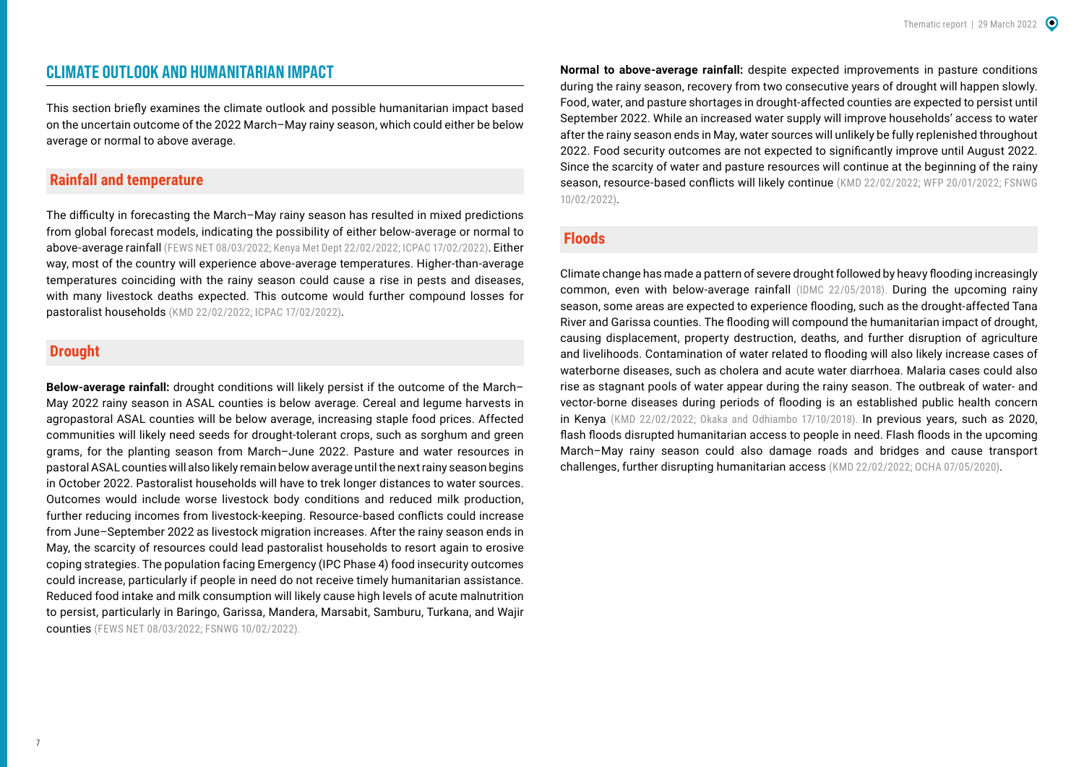## <span id="page-6-0"></span>**CLIMATE OUTLOOK AND HUMANITARIAN IMPACT**

This section briefly examines the climate outlook and possible humanitarian impact based on the uncertain outcome of the 2022 March–May rainy season, which could either be below average or normal to above average.

## **Rainfall and temperature**

The difficulty in forecasting the March–May rainy season has resulted in mixed predictions from global forecast models, indicating the possibility of either below-average or normal to above-average rainfall [\(FEWS NET 08/03/2022](https://reliefweb.int/report/kenya/kenya-food-security-outlook-update-february-september-2022); [Kenya Met Dept 22/02/2022](https://meteo.go.ke/sites/default/files/forecast/seasonal-forecast/MAM_2022_Forecast.pdf); [ICPAC 17/02/2022\)](https://www.icpac.net/news/march-to-may-2022-forecast-shows-higher-chances-of-a-strong-rainy-season-but-stakeholders-should-still-prepare-for-worst-case-scenarios/). Either way, most of the country will experience above-average temperatures. Higher-than-average temperatures coinciding with the rainy season could cause a rise in pests and diseases, with many livestock deaths expected. This outcome would further compound losses for pastoralist households ([KMD 22/02/2022](https://meteo.go.ke/sites/default/files/forecast/seasonal-forecast/MAM_2022_Forecast.pdf); [ICPAC 17/02/2022\)](https://www.icpac.net/news/march-to-may-2022-forecast-shows-higher-chances-of-a-strong-rainy-season-but-stakeholders-should-still-prepare-for-worst-case-scenarios/).

## **Drought**

**Below-average rainfall:** drought conditions will likely persist if the outcome of the March– May 2022 rainy season in ASAL counties is below average. Cereal and legume harvests in agropastoral ASAL counties will be below average, increasing staple food prices. Affected communities will likely need seeds for drought-tolerant crops, such as sorghum and green grams, for the planting season from March–June 2022. Pasture and water resources in pastoral ASAL counties will also likely remain below average until the next rainy season begins in October 2022. Pastoralist households will have to trek longer distances to water sources. Outcomes would include worse livestock body conditions and reduced milk production, further reducing incomes from livestock-keeping. Resource-based conflicts could increase from June–September 2022 as livestock migration increases. After the rainy season ends in May, the scarcity of resources could lead pastoralist households to resort again to erosive coping strategies. The population facing Emergency (IPC Phase 4) food insecurity outcomes could increase, particularly if people in need do not receive timely humanitarian assistance. Reduced food intake and milk consumption will likely cause high levels of acute malnutrition to persist, particularly in Baringo, Garissa, Mandera, Marsabit, Samburu, Turkana, and Wajir counties ([FEWS NET 08/03/2022;](https://reliefweb.int/report/kenya/kenya-food-security-outlook-update-february-september-2022) [FSNWG 10/02/2022](https://www.icpac.net/fsnwg/fsnwg-special-report-on-drought/)).

**Normal to above-average rainfall:** despite expected improvements in pasture conditions during the rainy season, recovery from two consecutive years of drought will happen slowly. Food, water, and pasture shortages in drought-affected counties are expected to persist until September 2022. While an increased water supply will improve households' access to water after the rainy season ends in May, water sources will unlikely be fully replenished throughout 2022. Food security outcomes are not expected to significantly improve until August 2022. Since the scarcity of water and pasture resources will continue at the beginning of the rainy season, resource-based conflicts will likely continue ([KMD 22/02/2022](https://meteo.go.ke/sites/default/files/forecast/seasonal-forecast/MAM_2022_Forecast.pdf); [WFP 20/01/2022](https://reliefweb.int/report/ethiopia/analysis-impacts-ongoing-drought-across-eastern-horn-africa-2020-2022-period); FSNWG [10/02/2022\)](https://www.icpac.net/fsnwg/fsnwg-special-report-on-drought/).

#### **Floods**

Climate change has made a pattern of severe drought followed by heavy flooding increasingly common, even with below-average rainfall [\(IDMC 22/05/2018\)](https://www.internal-displacement.org/expert-opinion/drought-stricken-communities-hit-by-destructive-floods-in-the-horn-of-africa). During the upcoming rainy season, some areas are expected to experience flooding, such as the drought-affected Tana River and Garissa counties. The flooding will compound the humanitarian impact of drought, causing displacement, property destruction, deaths, and further disruption of agriculture and livelihoods. Contamination of water related to flooding will also likely increase cases of waterborne diseases, such as cholera and acute water diarrhoea. Malaria cases could also rise as stagnant pools of water appear during the rainy season. The outbreak of water- and vector-borne diseases during periods of flooding is an established public health concern in Kenya [\(KMD 22/02/2022;](https://meteo.go.ke/sites/default/files/forecast/seasonal-forecast/MAM_2022_Forecast.pdf) Okaka and Odhiambo 17/10/2018). In previous years, such as 2020, flash floods disrupted humanitarian access to people in need. Flash floods in the upcoming March–May rainy season could also damage roads and bridges and cause transport challenges, further disrupting humanitarian access ([KMD 22/02/2022](https://meteo.go.ke/sites/default/files/forecast/seasonal-forecast/MAM_2022_Forecast.pdf); [OCHA 07/05/2020\)](https://reliefweb.int/report/kenya/kenya-floods-flash-update-no-1-7-may-2020).